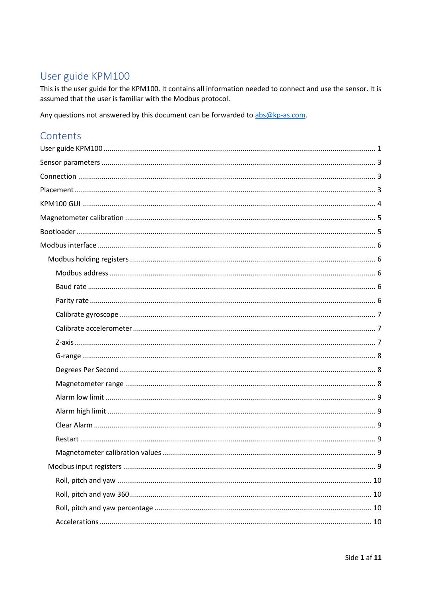# <span id="page-0-0"></span>User guide KPM100

This is the user guide for the KPM100. It contains all information needed to connect and use the sensor. It is assumed that the user is familiar with the Modbus protocol.

Any questions not answered by this document can be forwarded to abs@kp-as.com.

# Contents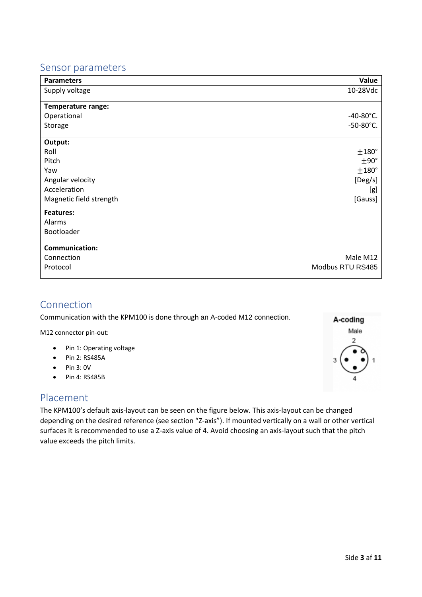# <span id="page-2-0"></span>Sensor parameters

| <b>Parameters</b>       | Value               |
|-------------------------|---------------------|
| Supply voltage          | 10-28Vdc            |
| Temperature range:      |                     |
| Operational             | $-40-80^{\circ}$ C. |
| Storage                 | $-50-80^{\circ}$ C. |
| Output:                 |                     |
| Roll                    | ±180°               |
| Pitch                   | ±90°                |
| Yaw                     | $±180^\circ$        |
| Angular velocity        | [Deg/s]             |
| Acceleration            | [g]                 |
| Magnetic field strength | [Gauss]             |
| <b>Features:</b>        |                     |
| Alarms                  |                     |
| Bootloader              |                     |
| <b>Communication:</b>   |                     |
| Connection              | Male M12            |
| Protocol                | Modbus RTU RS485    |

# <span id="page-2-1"></span>Connection

Communication with the KPM100 is done through an A-coded M12 connection.

M12 connector pin-out:

- Pin 1: Operating voltage
- Pin 2: RS485A
- Pin 3: 0V
- Pin 4: RS485B

# <span id="page-2-2"></span>Placement

The KPM100's default axis-layout can be seen on the figure below. This axis-layout can be changed depending on the desired reference (see section "Z-axis"). If mounted vertically on a wall or other vertical surfaces it is recommended to use a Z-axis value of 4. Avoid choosing an axis-layout such that the pitch value exceeds the pitch limits.

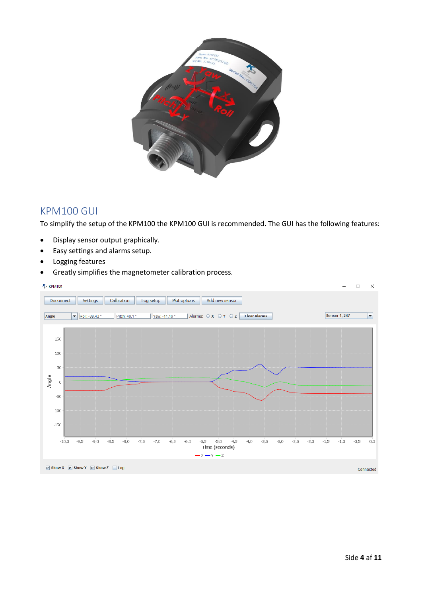

# <span id="page-3-0"></span>KPM100 GUI

To simplify the setup of the KPM100 the KPM100 GUI is recommended. The GUI has the following features:

- Display sensor output graphically.
- Easy settings and alarms setup.
- Logging features
- Greatly simplifies the magnetometer calibration process.

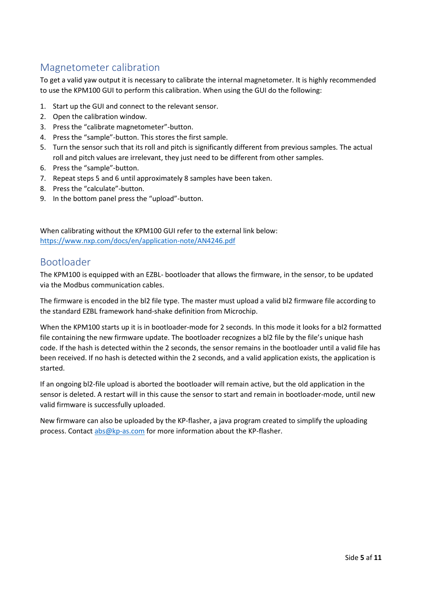# <span id="page-4-0"></span>Magnetometer calibration

To get a valid yaw output it is necessary to calibrate the internal magnetometer. It is highly recommended to use the KPM100 GUI to perform this calibration. When using the GUI do the following:

- 1. Start up the GUI and connect to the relevant sensor.
- 2. Open the calibration window.
- 3. Press the "calibrate magnetometer"-button.
- 4. Press the "sample"-button. This stores the first sample.
- 5. Turn the sensor such that its roll and pitch is significantly different from previous samples. The actual roll and pitch values are irrelevant, they just need to be different from other samples.
- 6. Press the "sample"-button.
- 7. Repeat steps 5 and 6 until approximately 8 samples have been taken.
- 8. Press the "calculate"-button.
- 9. In the bottom panel press the "upload"-button.

When calibrating without the KPM100 GUI refer to the external link below: <https://www.nxp.com/docs/en/application-note/AN4246.pdf>

# <span id="page-4-1"></span>Bootloader

The KPM100 is equipped with an EZBL- bootloader that allows the firmware, in the sensor, to be updated via the Modbus communication cables.

The firmware is encoded in the bl2 file type. The master must upload a valid bl2 firmware file according to the standard EZBL framework hand-shake definition from Microchip.

When the KPM100 starts up it is in bootloader-mode for 2 seconds. In this mode it looks for a bl2 formatted file containing the new firmware update. The bootloader recognizes a bl2 file by the file's unique hash code. If the hash is detected within the 2 seconds, the sensor remains in the bootloader until a valid file has been received. If no hash is detected within the 2 seconds, and a valid application exists, the application is started.

If an ongoing bl2-file upload is aborted the bootloader will remain active, but the old application in the sensor is deleted. A restart will in this cause the sensor to start and remain in bootloader-mode, until new valid firmware is successfully uploaded.

New firmware can also be uploaded by the KP-flasher, a java program created to simplify the uploading process. Contact [abs@kp-as.com](mailto:abs@kp-as.com) for more information about the KP-flasher.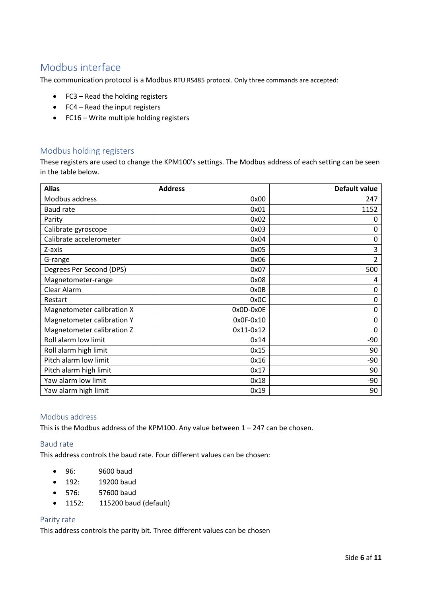# <span id="page-5-0"></span>Modbus interface

The communication protocol is a Modbus RTU RS485 protocol. Only three commands are accepted:

- FC3 Read the holding registers
- FC4 Read the input registers
- FC16 Write multiple holding registers

# <span id="page-5-1"></span>Modbus holding registers

These registers are used to change the KPM100's settings. The Modbus address of each setting can be seen in the table below.

| <b>Alias</b>               | <b>Address</b> | Default value  |
|----------------------------|----------------|----------------|
| Modbus address             | 0x00           | 247            |
| <b>Baud rate</b>           | 0x01           | 1152           |
| Parity                     | 0x02           | 0              |
| Calibrate gyroscope        | 0x03           | 0              |
| Calibrate accelerometer    | 0x04           | 0              |
| Z-axis                     | 0x05           | 3              |
| G-range                    | 0x06           | $\overline{2}$ |
| Degrees Per Second (DPS)   | 0x07           | 500            |
| Magnetometer-range         | 0x08           | 4              |
| Clear Alarm                | 0x0B           | 0              |
| Restart                    | 0x0C           | 0              |
| Magnetometer calibration X | 0x0D-0x0E      | 0              |
| Magnetometer calibration Y | $0x0F-0x10$    | 0              |
| Magnetometer calibration Z | 0x11-0x12      | 0              |
| Roll alarm low limit       | 0x14           | $-90$          |
| Roll alarm high limit      | 0x15           | 90             |
| Pitch alarm low limit      | 0x16           | $-90$          |
| Pitch alarm high limit     | 0x17           | 90             |
| Yaw alarm low limit        | 0x18           | $-90$          |
| Yaw alarm high limit       | 0x19           | 90             |

## <span id="page-5-2"></span>Modbus address

This is the Modbus address of the KPM100. Any value between  $1 - 247$  can be chosen.

#### <span id="page-5-3"></span>Baud rate

This address controls the baud rate. Four different values can be chosen:

- 96: 9600 baud
- 192: 19200 baud
- 576: 57600 baud
- 1152: 115200 baud (default)

### <span id="page-5-4"></span>Parity rate

This address controls the parity bit. Three different values can be chosen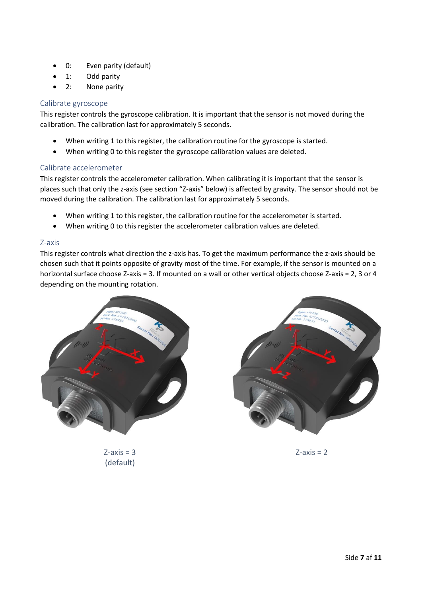- 0: Even parity (default)
- 1: Odd parity
- 2: None parity

# <span id="page-6-0"></span>Calibrate gyroscope

This register controls the gyroscope calibration. It is important that the sensor is not moved during the calibration. The calibration last for approximately 5 seconds.

- When writing 1 to this register, the calibration routine for the gyroscope is started.
- When writing 0 to this register the gyroscope calibration values are deleted.

## <span id="page-6-1"></span>Calibrate accelerometer

This register controls the accelerometer calibration. When calibrating it is important that the sensor is places such that only the z-axis (see section "Z-axis" below) is affected by gravity. The sensor should not be moved during the calibration. The calibration last for approximately 5 seconds.

- When writing 1 to this register, the calibration routine for the accelerometer is started.
- When writing 0 to this register the accelerometer calibration values are deleted.

### <span id="page-6-2"></span>Z-axis

This register controls what direction the z-axis has. To get the maximum performance the z-axis should be chosen such that it points opposite of gravity most of the time. For example, if the sensor is mounted on a horizontal surface choose Z-axis = 3. If mounted on a wall or other vertical objects choose Z-axis = 2, 3 or 4 depending on the mounting rotation.



 $Z$ -axis = 3 (default)



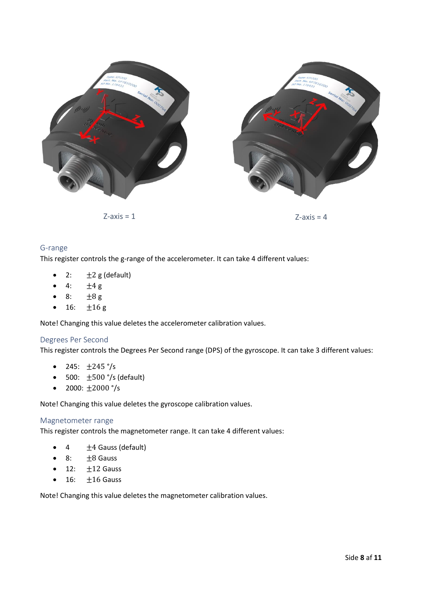

 $Z$ -axis = 1  $Z$ -axis = 4



### <span id="page-7-0"></span>G-range

This register controls the g-range of the accelerometer. It can take 4 different values:

- 2:  $\pm 2$  g (default)
- 4:  $\pm 4 g$
- 8:  $\pm 8 g$
- 16:  $\pm 16 \text{ g}$

Note! Changing this value deletes the accelerometer calibration values.

### <span id="page-7-1"></span>Degrees Per Second

This register controls the Degrees Per Second range (DPS) of the gyroscope. It can take 3 different values:

- 245:  $\pm 245$  °/s
- 500:  $\pm$ 500 °/s (default)
- 2000:  $\pm 2000$  °/s

Note! Changing this value deletes the gyroscope calibration values.

#### <span id="page-7-2"></span>Magnetometer range

This register controls the magnetometer range. It can take 4 different values:

- 4  $\pm$  4 Gauss (default)
- 8:  $\pm 8$  Gauss
- 12:  $\pm$ 12 Gauss
- $\bullet$  16:  $\pm 16$  Gauss

Note! Changing this value deletes the magnetometer calibration values.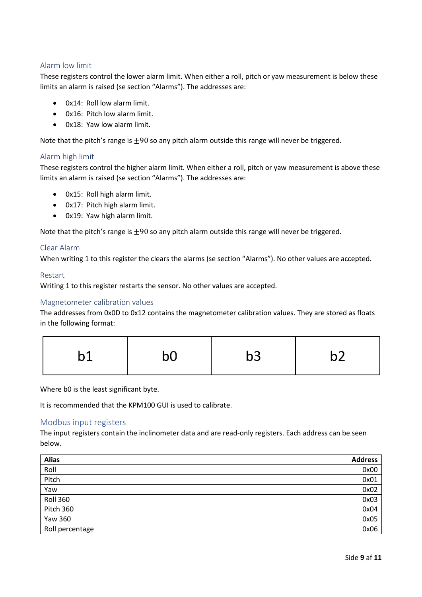### <span id="page-8-0"></span>Alarm low limit

These registers control the lower alarm limit. When either a roll, pitch or yaw measurement is below these limits an alarm is raised (se section "Alarms"). The addresses are:

- 0x14: Roll low alarm limit.
- 0x16: Pitch low alarm limit.
- 0x18: Yaw low alarm limit.

Note that the pitch's range is  $\pm 90$  so any pitch alarm outside this range will never be triggered.

### <span id="page-8-1"></span>Alarm high limit

These registers control the higher alarm limit. When either a roll, pitch or yaw measurement is above these limits an alarm is raised (se section "Alarms"). The addresses are:

- 0x15: Roll high alarm limit.
- 0x17: Pitch high alarm limit.
- 0x19: Yaw high alarm limit.

Note that the pitch's range is  $\pm 90$  so any pitch alarm outside this range will never be triggered.

#### <span id="page-8-2"></span>Clear Alarm

When writing 1 to this register the clears the alarms (se section "Alarms"). No other values are accepted.

#### <span id="page-8-3"></span>Restart

Writing 1 to this register restarts the sensor. No other values are accepted.

#### <span id="page-8-4"></span>Magnetometer calibration values

The addresses from 0x0D to 0x12 contains the magnetometer calibration values. They are stored as floats in the following format:

|--|

Where b0 is the least significant byte.

It is recommended that the KPM100 GUI is used to calibrate.

#### <span id="page-8-5"></span>Modbus input registers

The input registers contain the inclinometer data and are read-only registers. Each address can be seen below.

| <b>Alias</b>    | <b>Address</b> |
|-----------------|----------------|
| Roll            | 0x00           |
| Pitch           | 0x01           |
| Yaw             | 0x02           |
| <b>Roll 360</b> | 0x03           |
| Pitch 360       | 0x04           |
| <b>Yaw 360</b>  | 0x05           |
| Roll percentage | 0x06           |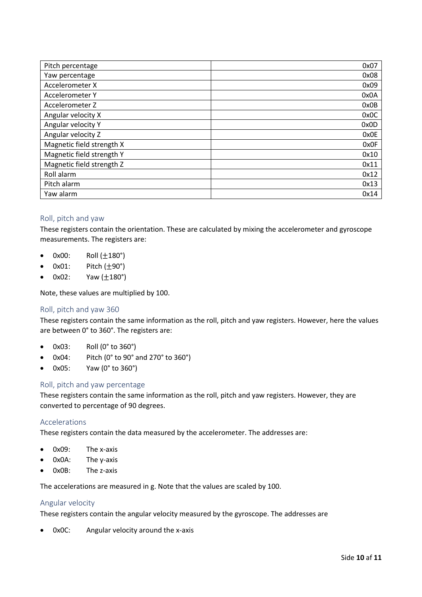| Pitch percentage          | 0x07 |
|---------------------------|------|
| Yaw percentage            | 0x08 |
| Accelerometer X           | 0x09 |
| Accelerometer Y           | 0x0A |
| Accelerometer Z           | 0x0B |
| Angular velocity X        | 0x0C |
| Angular velocity Y        | 0x0D |
| Angular velocity Z        | 0x0E |
| Magnetic field strength X | 0x0F |
| Magnetic field strength Y | 0x10 |
| Magnetic field strength Z | 0x11 |
| Roll alarm                | 0x12 |
| Pitch alarm               | 0x13 |
| Yaw alarm                 | 0x14 |

### <span id="page-9-0"></span>Roll, pitch and yaw

These registers contain the orientation. These are calculated by mixing the accelerometer and gyroscope measurements. The registers are:

- 0x00: Roll  $(\pm 180^{\circ})$
- $0x01$ : Pitch  $(\pm 90^\circ)$
- $0x02$ : Yaw  $(\pm 180^\circ)$

Note, these values are multiplied by 100.

#### <span id="page-9-1"></span>Roll, pitch and yaw 360

These registers contain the same information as the roll, pitch and yaw registers. However, here the values are between 0° to 360°. The registers are:

- 0x03: Roll (0° to 360°)
- 0x04: Pitch (0° to 90° and 270° to 360°)
- 0x05: Yaw (0° to 360°)

#### <span id="page-9-2"></span>Roll, pitch and yaw percentage

These registers contain the same information as the roll, pitch and yaw registers. However, they are converted to percentage of 90 degrees.

#### <span id="page-9-3"></span>Accelerations

These registers contain the data measured by the accelerometer. The addresses are:

- 0x09: The x-axis
- 0x0A: The y-axis
- 0x0B: The z-axis

The accelerations are measured in g. Note that the values are scaled by 100.

#### <span id="page-9-4"></span>Angular velocity

These registers contain the angular velocity measured by the gyroscope. The addresses are

• 0x0C: Angular velocity around the x-axis